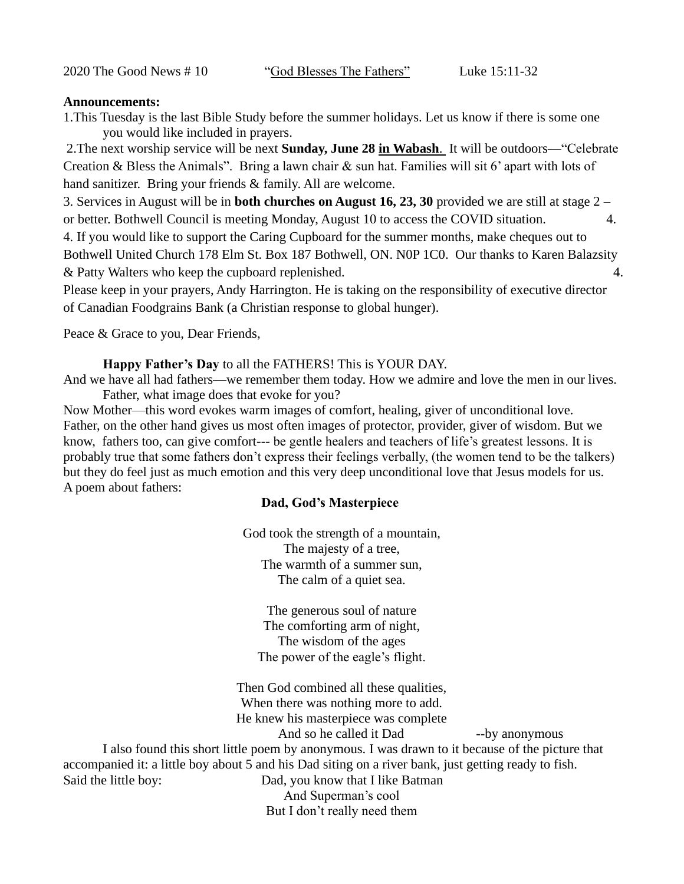2020 The Good News # 10 "God Blesses The Fathers" Luke 15:11-32

#### **Announcements:**

1.This Tuesday is the last Bible Study before the summer holidays. Let us know if there is some one you would like included in prayers.

2.The next worship service will be next **Sunday, June 28 in Wabash**. It will be outdoors—"Celebrate Creation & Bless the Animals". Bring a lawn chair & sun hat. Families will sit 6' apart with lots of hand sanitizer. Bring your friends & family. All are welcome.

3. Services in August will be in **both churches on August 16, 23, 30** provided we are still at stage 2 – or better. Bothwell Council is meeting Monday, August 10 to access the COVID situation. 4. 4. If you would like to support the Caring Cupboard for the summer months, make cheques out to

Bothwell United Church 178 Elm St. Box 187 Bothwell, ON. N0P 1C0. Our thanks to Karen Balazsity & Patty Walters who keep the cupboard replenished. 4.

Please keep in your prayers, Andy Harrington. He is taking on the responsibility of executive director of Canadian Foodgrains Bank (a Christian response to global hunger).

Peace & Grace to you, Dear Friends,

**Happy Father's Day** to all the FATHERS! This is YOUR DAY.

And we have all had fathers—we remember them today. How we admire and love the men in our lives. Father, what image does that evoke for you?

Now Mother—this word evokes warm images of comfort, healing, giver of unconditional love. Father, on the other hand gives us most often images of protector, provider, giver of wisdom. But we know, fathers too, can give comfort--- be gentle healers and teachers of life's greatest lessons. It is probably true that some fathers don't express their feelings verbally, (the women tend to be the talkers) but they do feel just as much emotion and this very deep unconditional love that Jesus models for us. A poem about fathers:

# **Dad, God's Masterpiece**

God took the strength of a mountain, The majesty of a tree, The warmth of a summer sun, The calm of a quiet sea.

The generous soul of nature The comforting arm of night, The wisdom of the ages The power of the eagle's flight.

Then God combined all these qualities, When there was nothing more to add. He knew his masterpiece was complete And so he called it Dad --by anonymous I also found this short little poem by anonymous. I was drawn to it because of the picture that

accompanied it: a little boy about 5 and his Dad siting on a river bank, just getting ready to fish. Said the little boy: Dad, you know that I like Batman And Superman's cool

But I don't really need them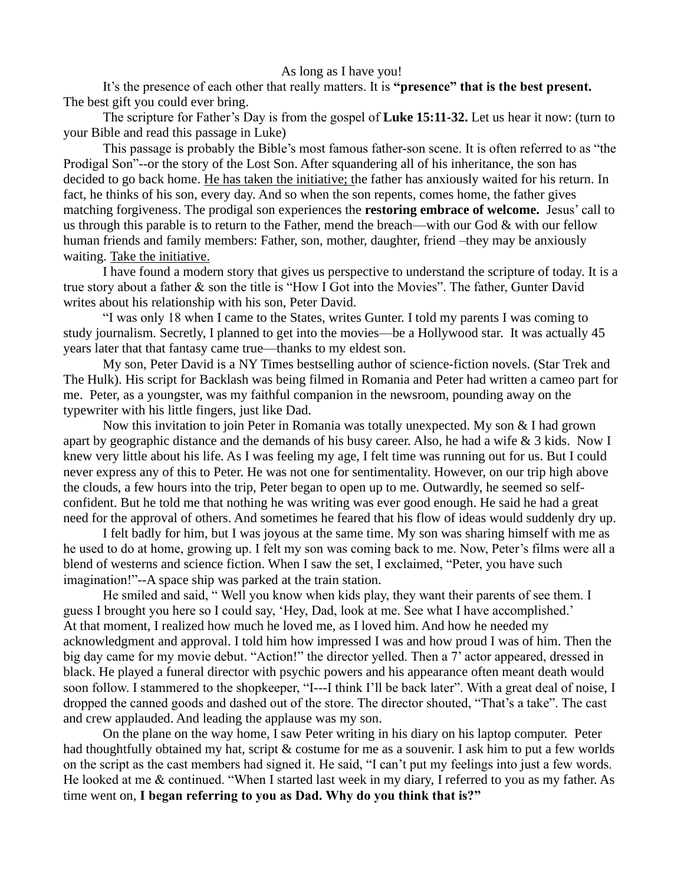#### As long as I have you!

It's the presence of each other that really matters. It is **"presence" that is the best present.**  The best gift you could ever bring.

The scripture for Father's Day is from the gospel of **Luke 15:11-32.** Let us hear it now: (turn to your Bible and read this passage in Luke)

This passage is probably the Bible's most famous father-son scene. It is often referred to as "the Prodigal Son"--or the story of the Lost Son. After squandering all of his inheritance, the son has decided to go back home. He has taken the initiative; the father has anxiously waited for his return. In fact, he thinks of his son, every day. And so when the son repents, comes home, the father gives matching forgiveness. The prodigal son experiences the **restoring embrace of welcome.** Jesus' call to us through this parable is to return to the Father, mend the breach—with our God & with our fellow human friends and family members: Father, son, mother, daughter, friend –they may be anxiously waiting. Take the initiative.

I have found a modern story that gives us perspective to understand the scripture of today. It is a true story about a father & son the title is "How I Got into the Movies". The father, Gunter David writes about his relationship with his son, Peter David.

"I was only 18 when I came to the States, writes Gunter. I told my parents I was coming to study journalism. Secretly, I planned to get into the movies—be a Hollywood star. It was actually 45 years later that that fantasy came true—thanks to my eldest son.

My son, Peter David is a NY Times bestselling author of science-fiction novels. (Star Trek and The Hulk). His script for Backlash was being filmed in Romania and Peter had written a cameo part for me. Peter, as a youngster, was my faithful companion in the newsroom, pounding away on the typewriter with his little fingers, just like Dad.

Now this invitation to join Peter in Romania was totally unexpected. My son & I had grown apart by geographic distance and the demands of his busy career. Also, he had a wife & 3 kids. Now I knew very little about his life. As I was feeling my age, I felt time was running out for us. But I could never express any of this to Peter. He was not one for sentimentality. However, on our trip high above the clouds, a few hours into the trip, Peter began to open up to me. Outwardly, he seemed so selfconfident. But he told me that nothing he was writing was ever good enough. He said he had a great need for the approval of others. And sometimes he feared that his flow of ideas would suddenly dry up.

I felt badly for him, but I was joyous at the same time. My son was sharing himself with me as he used to do at home, growing up. I felt my son was coming back to me. Now, Peter's films were all a blend of westerns and science fiction. When I saw the set, I exclaimed, "Peter, you have such imagination!"--A space ship was parked at the train station.

He smiled and said, " Well you know when kids play, they want their parents of see them. I guess I brought you here so I could say, 'Hey, Dad, look at me. See what I have accomplished.' At that moment, I realized how much he loved me, as I loved him. And how he needed my acknowledgment and approval. I told him how impressed I was and how proud I was of him. Then the big day came for my movie debut. "Action!" the director yelled. Then a 7' actor appeared, dressed in black. He played a funeral director with psychic powers and his appearance often meant death would soon follow. I stammered to the shopkeeper, "I---I think I'll be back later". With a great deal of noise, I dropped the canned goods and dashed out of the store. The director shouted, "That's a take". The cast and crew applauded. And leading the applause was my son.

On the plane on the way home, I saw Peter writing in his diary on his laptop computer. Peter had thoughtfully obtained my hat, script & costume for me as a souvenir. I ask him to put a few worlds on the script as the cast members had signed it. He said, "I can't put my feelings into just a few words. He looked at me & continued. "When I started last week in my diary, I referred to you as my father. As time went on, **I began referring to you as Dad. Why do you think that is?"**